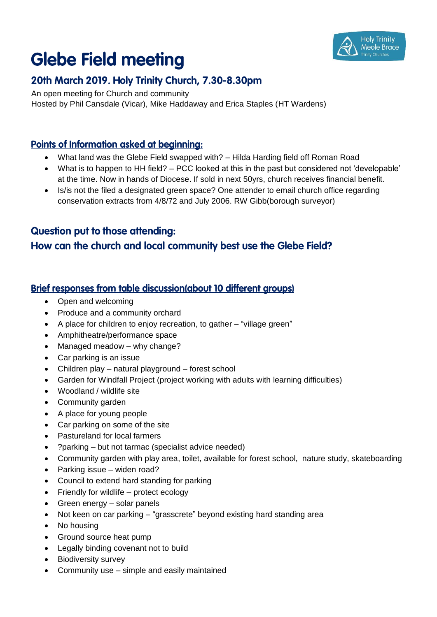## **Holy Trinity** Meole Brace

# **Glebe Field meeting**

## 20th March 2019. Holy Trinity Church, 7.30-8.30pm

An open meeting for Church and community Hosted by Phil Cansdale (Vicar), Mike Haddaway and Erica Staples (HT Wardens)

### **Points of Information asked at beginning:**

- What land was the Glebe Field swapped with? Hilda Harding field off Roman Road
- What is to happen to HH field? PCC looked at this in the past but considered not 'developable' at the time. Now in hands of Diocese. If sold in next 50yrs, church receives financial benefit.
- Is/is not the filed a designated green space? One attender to email church office regarding conservation extracts from 4/8/72 and July 2006. RW Gibb(borough surveyor)

## **Question put to those attending:**

## How can the church and local community best use the Glebe Field?

#### **Brief responses from table discussion(about 10 different groups)**

- Open and welcoming
- Produce and a community orchard
- A place for children to enjoy recreation, to gather "village green"
- Amphitheatre/performance space
- Managed meadow why change?
- Car parking is an issue
- Children play natural playground forest school
- Garden for Windfall Project (project working with adults with learning difficulties)
- Woodland / wildlife site
- Community garden
- A place for young people
- Car parking on some of the site
- Pastureland for local farmers
- ?parking but not tarmac (specialist advice needed)
- Community garden with play area, toilet, available for forest school, nature study, skateboarding
- Parking issue widen road?
- Council to extend hard standing for parking
- Friendly for wildlife protect ecology
- Green energy solar panels
- Not keen on car parking "grasscrete" beyond existing hard standing area
- No housing
- Ground source heat pump
- Legally binding covenant not to build
- Biodiversity survey
- Community use simple and easily maintained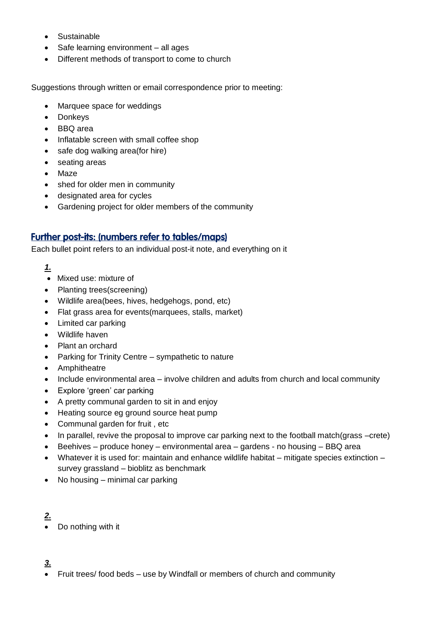- Sustainable
- Safe learning environment all ages
- Different methods of transport to come to church

Suggestions through written or email correspondence prior to meeting:

- Marquee space for weddings
- Donkeys
- BBQ area
- Inflatable screen with small coffee shop
- safe dog walking area(for hire)
- seating areas
- Maze
- shed for older men in community
- designated area for cycles
- Gardening project for older members of the community

#### **Further post-its: (numbers refer to tables/maps)**

Each bullet point refers to an individual post-it note, and everything on it

- *1.*
- Mixed use: mixture of
- Planting trees(screening)
- Wildlife area(bees, hives, hedgehogs, pond, etc)
- Flat grass area for events(marquees, stalls, market)
- Limited car parking
- Wildlife haven
- Plant an orchard
- Parking for Trinity Centre sympathetic to nature
- Amphitheatre
- Include environmental area involve children and adults from church and local community
- Explore 'green' car parking
- A pretty communal garden to sit in and enjoy
- Heating source eg ground source heat pump
- Communal garden for fruit, etc
- In parallel, revive the proposal to improve car parking next to the football match(grass –crete)
- Beehives produce honey environmental area gardens no housing BBQ area
- Whatever it is used for: maintain and enhance wildlife habitat mitigate species extinction survey grassland – bioblitz as benchmark
- $\bullet$  No housing minimal car parking

#### *2.*

Do nothing with it

#### *3.*

Fruit trees/ food beds – use by Windfall or members of church and community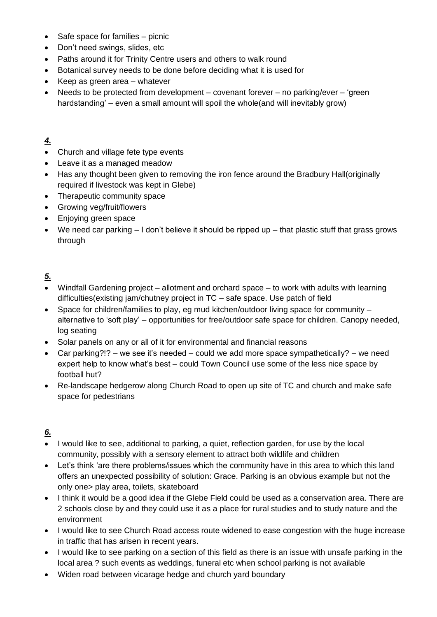- Safe space for families picnic
- Don't need swings, slides, etc
- Paths around it for Trinity Centre users and others to walk round
- Botanical survey needs to be done before deciding what it is used for
- Keep as green area whatever
- Needs to be protected from development covenant forever no parking/ever 'green hardstanding' – even a small amount will spoil the whole(and will inevitably grow)

#### *4.*

- Church and village fete type events
- Leave it as a managed meadow
- Has any thought been given to removing the iron fence around the Bradbury Hall(originally required if livestock was kept in Glebe)
- Therapeutic community space
- Growing veg/fruit/flowers
- Enjoying green space
- We need car parking I don't believe it should be ripped up that plastic stuff that grass grows through

#### *5.*

- Windfall Gardening project allotment and orchard space to work with adults with learning difficulties(existing jam/chutney project in TC – safe space. Use patch of field
- $\bullet$  Space for children/families to play, eg mud kitchen/outdoor living space for community  $$ alternative to 'soft play' – opportunities for free/outdoor safe space for children. Canopy needed, log seating
- Solar panels on any or all of it for environmental and financial reasons
- Car parking?!? we see it's needed could we add more space sympathetically? we need expert help to know what's best – could Town Council use some of the less nice space by football hut?
- Re-landscape hedgerow along Church Road to open up site of TC and church and make safe space for pedestrians

## *6.*

- I would like to see, additional to parking, a quiet, reflection garden, for use by the local community, possibly with a sensory element to attract both wildlife and children
- Let's think 'are there problems/issues which the community have in this area to which this land offers an unexpected possibility of solution: Grace. Parking is an obvious example but not the only one> play area, toilets, skateboard
- I think it would be a good idea if the Glebe Field could be used as a conservation area. There are 2 schools close by and they could use it as a place for rural studies and to study nature and the environment
- I would like to see Church Road access route widened to ease congestion with the huge increase in traffic that has arisen in recent years.
- I would like to see parking on a section of this field as there is an issue with unsafe parking in the local area ? such events as weddings, funeral etc when school parking is not available
- Widen road between vicarage hedge and church yard boundary